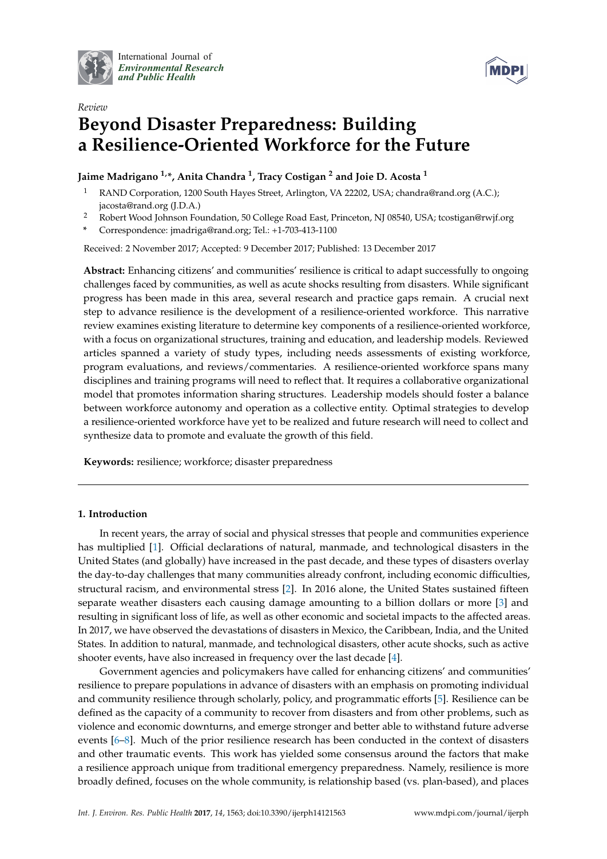

International Journal of *[Environmental Research](http://www.mdpi.com/journal/ijerph) and Public Health*



# *Review* **Beyond Disaster Preparedness: Building a Resilience-Oriented Workforce for the Future**

**Jaime Madrigano 1,\*, Anita Chandra <sup>1</sup> , Tracy Costigan <sup>2</sup> and Joie D. Acosta <sup>1</sup>**

- <sup>1</sup> RAND Corporation, 1200 South Hayes Street, Arlington, VA 22202, USA; chandra@rand.org (A.C.); jacosta@rand.org (J.D.A.)
- <sup>2</sup> Robert Wood Johnson Foundation, 50 College Road East, Princeton, NJ 08540, USA; tcostigan@rwjf.org
- **\*** Correspondence: jmadriga@rand.org; Tel.: +1-703-413-1100

Received: 2 November 2017; Accepted: 9 December 2017; Published: 13 December 2017

**Abstract:** Enhancing citizens' and communities' resilience is critical to adapt successfully to ongoing challenges faced by communities, as well as acute shocks resulting from disasters. While significant progress has been made in this area, several research and practice gaps remain. A crucial next step to advance resilience is the development of a resilience-oriented workforce. This narrative review examines existing literature to determine key components of a resilience-oriented workforce, with a focus on organizational structures, training and education, and leadership models. Reviewed articles spanned a variety of study types, including needs assessments of existing workforce, program evaluations, and reviews/commentaries. A resilience-oriented workforce spans many disciplines and training programs will need to reflect that. It requires a collaborative organizational model that promotes information sharing structures. Leadership models should foster a balance between workforce autonomy and operation as a collective entity. Optimal strategies to develop a resilience-oriented workforce have yet to be realized and future research will need to collect and synthesize data to promote and evaluate the growth of this field.

**Keywords:** resilience; workforce; disaster preparedness

# **1. Introduction**

In recent years, the array of social and physical stresses that people and communities experience has multiplied [\[1\]](#page-10-0). Official declarations of natural, manmade, and technological disasters in the United States (and globally) have increased in the past decade, and these types of disasters overlay the day-to-day challenges that many communities already confront, including economic difficulties, structural racism, and environmental stress [\[2\]](#page-10-1). In 2016 alone, the United States sustained fifteen separate weather disasters each causing damage amounting to a billion dollars or more [\[3\]](#page-10-2) and resulting in significant loss of life, as well as other economic and societal impacts to the affected areas. In 2017, we have observed the devastations of disasters in Mexico, the Caribbean, India, and the United States. In addition to natural, manmade, and technological disasters, other acute shocks, such as active shooter events, have also increased in frequency over the last decade [\[4\]](#page-11-0).

Government agencies and policymakers have called for enhancing citizens' and communities' resilience to prepare populations in advance of disasters with an emphasis on promoting individual and community resilience through scholarly, policy, and programmatic efforts [\[5\]](#page-11-1). Resilience can be defined as the capacity of a community to recover from disasters and from other problems, such as violence and economic downturns, and emerge stronger and better able to withstand future adverse events [\[6](#page-11-2)[–8\]](#page-11-3). Much of the prior resilience research has been conducted in the context of disasters and other traumatic events. This work has yielded some consensus around the factors that make a resilience approach unique from traditional emergency preparedness. Namely, resilience is more broadly defined, focuses on the whole community, is relationship based (vs. plan-based), and places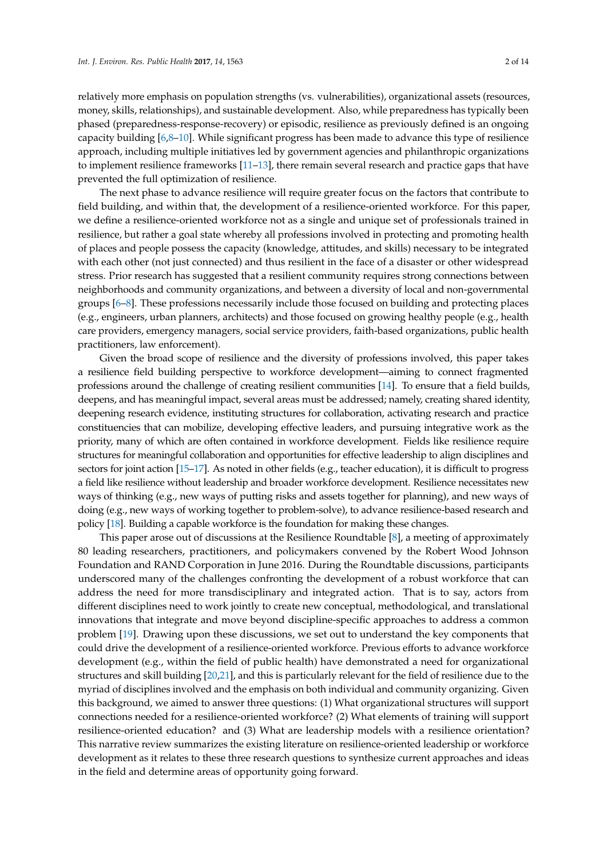relatively more emphasis on population strengths (vs. vulnerabilities), organizational assets (resources, money, skills, relationships), and sustainable development. Also, while preparedness has typically been phased (preparedness-response-recovery) or episodic, resilience as previously defined is an ongoing capacity building [\[6](#page-11-2)[,8](#page-11-3)[–10\]](#page-11-4). While significant progress has been made to advance this type of resilience approach, including multiple initiatives led by government agencies and philanthropic organizations to implement resilience frameworks [\[11](#page-11-5)[–13\]](#page-11-6), there remain several research and practice gaps that have prevented the full optimization of resilience.

The next phase to advance resilience will require greater focus on the factors that contribute to field building, and within that, the development of a resilience-oriented workforce. For this paper, we define a resilience-oriented workforce not as a single and unique set of professionals trained in resilience, but rather a goal state whereby all professions involved in protecting and promoting health of places and people possess the capacity (knowledge, attitudes, and skills) necessary to be integrated with each other (not just connected) and thus resilient in the face of a disaster or other widespread stress. Prior research has suggested that a resilient community requires strong connections between neighborhoods and community organizations, and between a diversity of local and non-governmental groups [\[6–](#page-11-2)[8\]](#page-11-3). These professions necessarily include those focused on building and protecting places (e.g., engineers, urban planners, architects) and those focused on growing healthy people (e.g., health care providers, emergency managers, social service providers, faith-based organizations, public health practitioners, law enforcement).

Given the broad scope of resilience and the diversity of professions involved, this paper takes a resilience field building perspective to workforce development—aiming to connect fragmented professions around the challenge of creating resilient communities [\[14\]](#page-11-7). To ensure that a field builds, deepens, and has meaningful impact, several areas must be addressed; namely, creating shared identity, deepening research evidence, instituting structures for collaboration, activating research and practice constituencies that can mobilize, developing effective leaders, and pursuing integrative work as the priority, many of which are often contained in workforce development. Fields like resilience require structures for meaningful collaboration and opportunities for effective leadership to align disciplines and sectors for joint action [\[15–](#page-11-8)[17\]](#page-11-9). As noted in other fields (e.g., teacher education), it is difficult to progress a field like resilience without leadership and broader workforce development. Resilience necessitates new ways of thinking (e.g., new ways of putting risks and assets together for planning), and new ways of doing (e.g., new ways of working together to problem-solve), to advance resilience-based research and policy [\[18\]](#page-11-10). Building a capable workforce is the foundation for making these changes.

This paper arose out of discussions at the Resilience Roundtable [\[8\]](#page-11-3), a meeting of approximately 80 leading researchers, practitioners, and policymakers convened by the Robert Wood Johnson Foundation and RAND Corporation in June 2016. During the Roundtable discussions, participants underscored many of the challenges confronting the development of a robust workforce that can address the need for more transdisciplinary and integrated action. That is to say, actors from different disciplines need to work jointly to create new conceptual, methodological, and translational innovations that integrate and move beyond discipline-specific approaches to address a common problem [\[19\]](#page-11-11). Drawing upon these discussions, we set out to understand the key components that could drive the development of a resilience-oriented workforce. Previous efforts to advance workforce development (e.g., within the field of public health) have demonstrated a need for organizational structures and skill building [\[20,](#page-11-12)[21\]](#page-11-13), and this is particularly relevant for the field of resilience due to the myriad of disciplines involved and the emphasis on both individual and community organizing. Given this background, we aimed to answer three questions: (1) What organizational structures will support connections needed for a resilience-oriented workforce? (2) What elements of training will support resilience-oriented education? and (3) What are leadership models with a resilience orientation? This narrative review summarizes the existing literature on resilience-oriented leadership or workforce development as it relates to these three research questions to synthesize current approaches and ideas in the field and determine areas of opportunity going forward.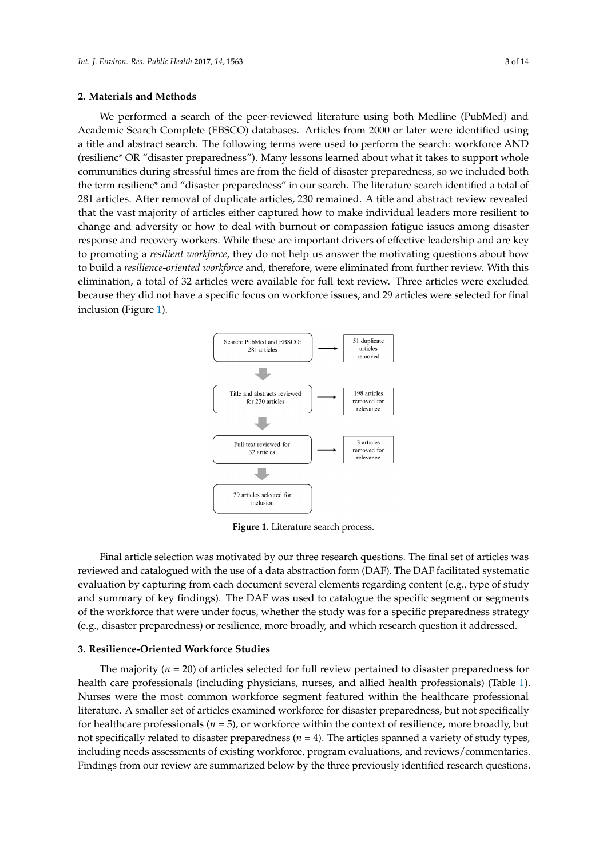#### **2. Materials and Methods** *Int. J. Environ. Res. Public Health* **2017**, *14*, 1563 3 of 14

We performed a search of the peer-reviewed literature using both Medline (PubMed) and Academic Search Complete (EBSCO) databases. Articles from 2000 or later were identified using a title and abstract search. The following terms were used to perform the search: workforce AND (resilienc<sup>\*</sup> OR "disaster preparedness"). Many lessons learned about what it takes to support whole communities during stressful times are from the field of disaster preparedness, so we included both the term resilienc<sup>\*</sup> and "disaster preparedness" in our search. The literature search identified a total of 281 articles. After removal of duplicate articles, 230 remained. A title and abstract review revealed that the vast majority of articles either captured how to make individual leaders more resilient to change and adversity or how to deal with burnout or compassion fatigue issues among disaster response and recovery workers. While these are important drivers of effective leadership and are key to promoting a *resilient workforce*, they do not help us answer the motivating questions about how to build a resilience-oriented workforce and, therefore, were eliminated from further review. With this elimination, a total of 32 articles were available for full text review. Three articles were excluded because they did not have a specific focus on workforce issues, and 29 articles were selected for final inclusion (Figure [1\)](#page-2-0). during stress times are from the field of disaster preparedness, so we include the term the term the term included both the term in the term in the term in the term in the term in the term in the term in the term in the te  $\frac{1}{\sqrt{16}}$  are specific force is supported for final inclusion (Figure 1). The figure 1  $\frac{1}{\sqrt{16}}$ 

<span id="page-2-0"></span>

**Figure 1.** Literature search process.

Final article selection was motivated by our three research questions. The final set of articles was Final article selection was motivated by our three research questions. The final set of articles was reviewed and catalogued with the use of a data abstraction form (DAF). The DAF facilitated systematic reviewed and catalogued with the use of a data abstraction form (DAF). The DAF facilitated systematic evaluation by capturing from each document several elements regarding content (e.g., type of study and summary of key findings). The DAF was used to catalogue the specific segment or segments of the workforce that were under focus, whether the study was for a specific preparedness strategy preparedness) or resilience, more broadly, and which research question it addressed. (e.g., disaster preparedness) or resilience, more broadly, and which research question it addressed.

#### **3. Resilience‐Oriented Workforce Studies 3. Resilience-Oriented Workforce Studies**

The majority (*n* = 20) of articles selected for full review pertained to disaster preparedness for The majority (*n* = 20) of articles selected for full review pertained to disaster preparedness for health care professionals (including physicians, nurses, and allied health professionals) (Table 1). health care professionals (including physicians, nurses, and allied health professionals) (Table [1\)](#page-5-0). Nurses were the most common workforce segment featured within the healthcare professional Nurses were the most common workforce segment featured within the healthcare professional literature. A smaller set of articles examined workforce for disaster prepared workforce for disaster process. literature. A smaller set of articles examined workforce for disaster preparedness, but not specifically for healthcare professionals ( $n = 5$ ), or workforce within the context of resilience, more broadly, but not specifically related to disaster preparedness (*n* = 4). The articles spanned a variety of study types, including needs assessments of existing workforce, program evaluations, and reviews/commentaries. Findings from our review are summarized below by the three previously identified research questions.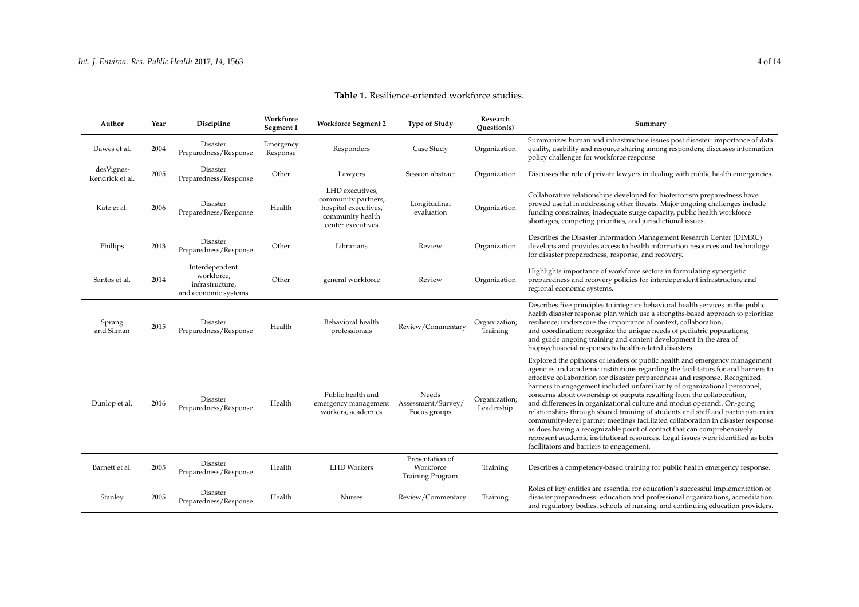| Author                        | Year | Discipline                                                              | Workforce<br>Segment 1 | <b>Workforce Segment 2</b>                                                                              | <b>Type of Study</b>                             | Research<br>Question(s)     | Summary                                                                                                                                                                                                                                                                                                                                                                                                                                                                                                                                                                                                                                                                                                                                                                                                                                                          |
|-------------------------------|------|-------------------------------------------------------------------------|------------------------|---------------------------------------------------------------------------------------------------------|--------------------------------------------------|-----------------------------|------------------------------------------------------------------------------------------------------------------------------------------------------------------------------------------------------------------------------------------------------------------------------------------------------------------------------------------------------------------------------------------------------------------------------------------------------------------------------------------------------------------------------------------------------------------------------------------------------------------------------------------------------------------------------------------------------------------------------------------------------------------------------------------------------------------------------------------------------------------|
| Dawes et al.                  | 2004 | Disaster<br>Preparedness/Response                                       | Emergency<br>Response  | Responders                                                                                              | Case Study                                       | Organization                | Summarizes human and infrastructure issues post disaster: importance of data<br>quality, usability and resource sharing among responders; discusses information<br>policy challenges for workforce response                                                                                                                                                                                                                                                                                                                                                                                                                                                                                                                                                                                                                                                      |
| desVignes-<br>Kendrick et al. | 2005 | Disaster<br>Preparedness/Response                                       | Other                  | Lawyers                                                                                                 | Session abstract                                 | Organization                | Discusses the role of private lawyers in dealing with public health emergencies.                                                                                                                                                                                                                                                                                                                                                                                                                                                                                                                                                                                                                                                                                                                                                                                 |
| Katz et al.                   | 2006 | Disaster<br>Preparedness/Response                                       | Health                 | LHD executives.<br>community partners,<br>hospital executives,<br>community health<br>center executives | Longitudinal<br>evaluation                       | Organization                | Collaborative relationships developed for bioterrorism preparedness have<br>proved useful in addressing other threats. Major ongoing challenges include<br>funding constraints, inadequate surge capacity, public health workforce<br>shortages, competing priorities, and jurisdictional issues.                                                                                                                                                                                                                                                                                                                                                                                                                                                                                                                                                                |
| Phillips                      | 2013 | Disaster<br>Preparedness/Response                                       | Other                  | Librarians                                                                                              | Review                                           | Organization                | Describes the Disaster Information Management Research Center (DIMRC)<br>develops and provides access to health information resources and technology<br>for disaster preparedness, response, and recovery.                                                                                                                                                                                                                                                                                                                                                                                                                                                                                                                                                                                                                                                       |
| Santos et al.                 | 2014 | Interdependent<br>workforce,<br>infrastructure.<br>and economic systems | Other                  | general workforce                                                                                       | Review                                           | Organization                | Highlights importance of workforce sectors in formulating synergistic<br>preparedness and recovery policies for interdependent infrastructure and<br>regional economic systems.                                                                                                                                                                                                                                                                                                                                                                                                                                                                                                                                                                                                                                                                                  |
| Sprang<br>and Silman          | 2015 | Disaster<br>Preparedness/Response                                       | Health                 | Behavioral health<br>professionals                                                                      | Review/Commentary                                | Organization;<br>Training   | Describes five principles to integrate behavioral health services in the public<br>health disaster response plan which use a strengths-based approach to prioritize<br>resilience; underscore the importance of context, collaboration,<br>and coordination; recognize the unique needs of pediatric populations;<br>and guide ongoing training and content development in the area of<br>biopsychosocial responses to health-related disasters.                                                                                                                                                                                                                                                                                                                                                                                                                 |
| Dunlop et al.                 | 2016 | Disaster<br>Preparedness/Response                                       | Health                 | Public health and<br>emergency management<br>workers, academics                                         | Needs<br>Assessment/Survey/<br>Focus groups      | Organization;<br>Leadership | Explored the opinions of leaders of public health and emergency management<br>agencies and academic institutions regarding the facilitators for and barriers to<br>effective collaboration for disaster preparedness and response. Recognized<br>barriers to engagement included unfamiliarity of organizational personnel,<br>concerns about ownership of outputs resulting from the collaboration,<br>and differences in organizational culture and modus operandi. On-going<br>relationships through shared training of students and staff and participation in<br>community-level partner meetings facilitated collaboration in disaster response<br>as does having a recognizable point of contact that can comprehensively<br>represent academic institutional resources. Legal issues were identified as both<br>facilitators and barriers to engagement. |
| Barnett et al.                | 2005 | Disaster<br>Preparedness/Response                                       | Health                 | <b>LHD</b> Workers                                                                                      | Presentation of<br>Workforce<br>Training Program | Training                    | Describes a competency-based training for public health emergency response.                                                                                                                                                                                                                                                                                                                                                                                                                                                                                                                                                                                                                                                                                                                                                                                      |
| Stanley                       | 2005 | Disaster<br>Preparedness/Response                                       | Health                 | <b>Nurses</b>                                                                                           | Review/Commentary                                | Training                    | Roles of key entities are essential for education's successful implementation of<br>disaster preparedness: education and professional organizations, accreditation<br>and regulatory bodies, schools of nursing, and continuing education providers.                                                                                                                                                                                                                                                                                                                                                                                                                                                                                                                                                                                                             |

# **Table 1.** Resilience-oriented workforce studies.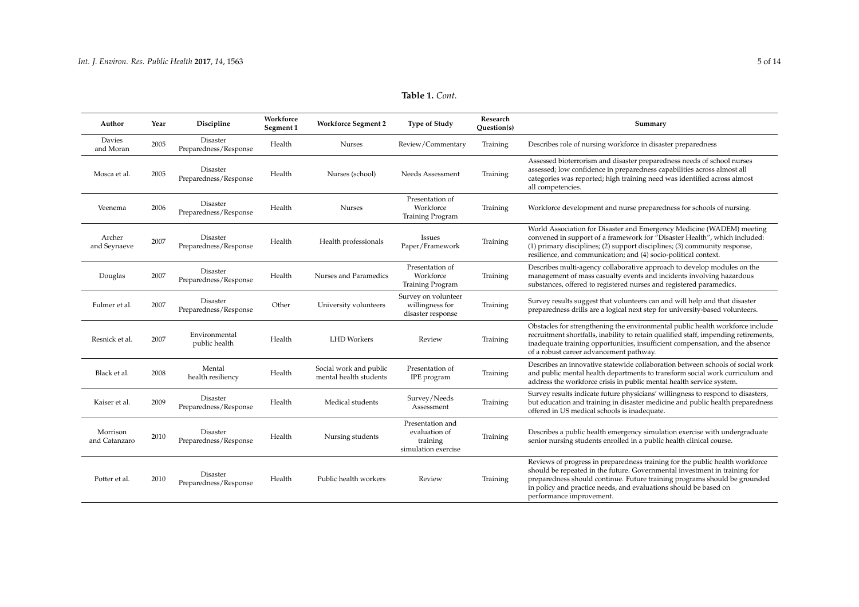| Author                    | Year | Discipline                               | Workforce<br>Segment 1 | <b>Workforce Segment 2</b>                       | <b>Type of Study</b>                                                 | Research<br>Question(s) | Summary                                                                                                                                                                                                                                                                                                                                |
|---------------------------|------|------------------------------------------|------------------------|--------------------------------------------------|----------------------------------------------------------------------|-------------------------|----------------------------------------------------------------------------------------------------------------------------------------------------------------------------------------------------------------------------------------------------------------------------------------------------------------------------------------|
| Davies<br>and Moran       | 2005 | <b>Disaster</b><br>Preparedness/Response | Health                 | Nurses                                           | Review/Commentary                                                    | Training                | Describes role of nursing workforce in disaster preparedness                                                                                                                                                                                                                                                                           |
| Mosca et al.              | 2005 | Disaster<br>Preparedness/Response        | Health                 | Nurses (school)                                  | Needs Assessment                                                     | Training                | Assessed bioterrorism and disaster preparedness needs of school nurses<br>assessed; low confidence in preparedness capabilities across almost all<br>categories was reported; high training need was identified across almost<br>all competencies.                                                                                     |
| Veenema                   | 2006 | <b>Disaster</b><br>Preparedness/Response | Health                 | <b>Nurses</b>                                    | Presentation of<br>Workforce<br><b>Training Program</b>              | Training                | Workforce development and nurse preparedness for schools of nursing.                                                                                                                                                                                                                                                                   |
| Archer<br>and Seynaeve    | 2007 | Disaster<br>Preparedness/Response        | Health                 | Health professionals                             | Issues<br>Paper/Framework                                            | Training                | World Association for Disaster and Emergency Medicine (WADEM) meeting<br>convened in support of a framework for "Disaster Health", which included:<br>(1) primary disciplines; (2) support disciplines; (3) community response,<br>resilience, and communication; and (4) socio-political context.                                     |
| Douglas                   | 2007 | Disaster<br>Preparedness/Response        | Health                 | Nurses and Paramedics                            | Presentation of<br>Workforce<br><b>Training Program</b>              | Training                | Describes multi-agency collaborative approach to develop modules on the<br>management of mass casualty events and incidents involving hazardous<br>substances, offered to registered nurses and registered paramedics.                                                                                                                 |
| Fulmer et al.             | 2007 | Disaster<br>Preparedness/Response        | Other                  | University volunteers                            | Survey on volunteer<br>willingness for<br>disaster response          | Training                | Survey results suggest that volunteers can and will help and that disaster<br>preparedness drills are a logical next step for university-based volunteers.                                                                                                                                                                             |
| Resnick et al.            | 2007 | Environmental<br>public health           | Health                 | <b>LHD</b> Workers                               | Review                                                               | Training                | Obstacles for strengthening the environmental public health workforce include<br>recruitment shortfalls, inability to retain qualified staff, impending retirements,<br>inadequate training opportunities, insufficient compensation, and the absence<br>of a robust career advancement pathway.                                       |
| Black et al.              | 2008 | Mental<br>health resiliency              | Health                 | Social work and public<br>mental health students | Presentation of<br>IPE program                                       | Training                | Describes an innovative statewide collaboration between schools of social work<br>and public mental health departments to transform social work curriculum and<br>address the workforce crisis in public mental health service system.                                                                                                 |
| Kaiser et al.             | 2009 | <b>Disaster</b><br>Preparedness/Response | Health                 | Medical students                                 | Survey/Needs<br>Assessment                                           | Training                | Survey results indicate future physicians' willingness to respond to disasters,<br>but education and training in disaster medicine and public health preparedness<br>offered in US medical schools is inadequate.                                                                                                                      |
| Morrison<br>and Catanzaro | 2010 | Disaster<br>Preparedness/Response        | Health                 | Nursing students                                 | Presentation and<br>evaluation of<br>training<br>simulation exercise | Training                | Describes a public health emergency simulation exercise with undergraduate<br>senior nursing students enrolled in a public health clinical course.                                                                                                                                                                                     |
| Potter et al.             | 2010 | Disaster<br>Preparedness/Response        | Health                 | Public health workers                            | Review                                                               | Training                | Reviews of progress in preparedness training for the public health workforce<br>should be repeated in the future. Governmental investment in training for<br>preparedness should continue. Future training programs should be grounded<br>in policy and practice needs, and evaluations should be based on<br>performance improvement. |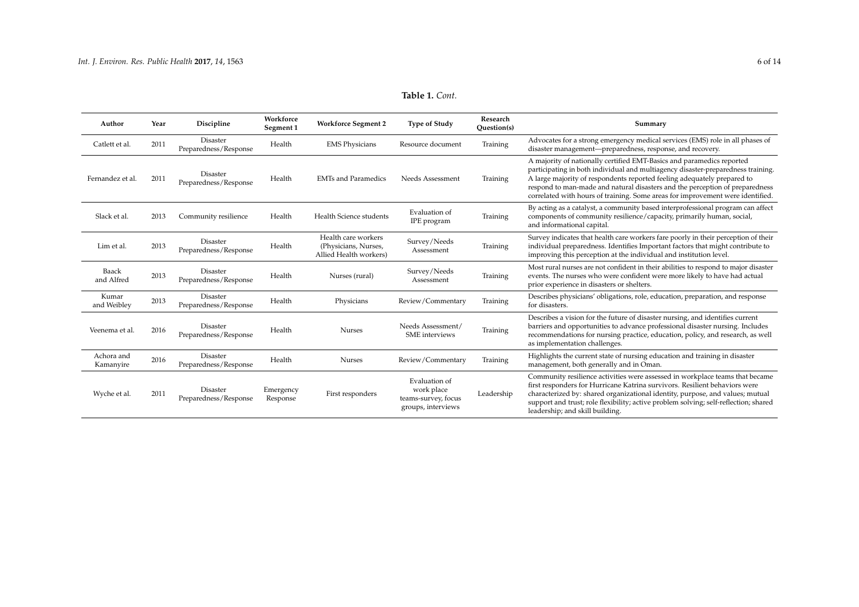# **Table 1.** *Cont.*

<span id="page-5-0"></span>

| Author                  | Year | Discipline                               | Workforce<br>Segment 1 | <b>Workforce Segment 2</b>                                            | <b>Type of Study</b>                                                     | Research<br>Ouestion(s) | Summary                                                                                                                                                                                                                                                                                                                                                                                                |
|-------------------------|------|------------------------------------------|------------------------|-----------------------------------------------------------------------|--------------------------------------------------------------------------|-------------------------|--------------------------------------------------------------------------------------------------------------------------------------------------------------------------------------------------------------------------------------------------------------------------------------------------------------------------------------------------------------------------------------------------------|
| Catlett et al.          | 2011 | Disaster<br>Preparedness/Response        | Health                 | <b>EMS Physicians</b>                                                 | Resource document                                                        | Training                | Advocates for a strong emergency medical services (EMS) role in all phases of<br>disaster management-preparedness, response, and recovery.                                                                                                                                                                                                                                                             |
| Fernandez et al.        | 2011 | Disaster<br>Preparedness/Response        | Health                 | <b>EMTs and Paramedics</b>                                            | Needs Assessment                                                         | Training                | A majority of nationally certified EMT-Basics and paramedics reported<br>participating in both individual and multiagency disaster-preparedness training.<br>A large majority of respondents reported feeling adequately prepared to<br>respond to man-made and natural disasters and the perception of preparedness<br>correlated with hours of training. Some areas for improvement were identified. |
| Slack et al.            | 2013 | Community resilience                     | Health                 | Health Science students                                               | Evaluation of<br>IPE program                                             | Training                | By acting as a catalyst, a community based interprofessional program can affect<br>components of community resilience/capacity, primarily human, social,<br>and informational capital.                                                                                                                                                                                                                 |
| Lim et al.              | 2013 | <b>Disaster</b><br>Preparedness/Response | Health                 | Health care workers<br>(Physicians, Nurses,<br>Allied Health workers) | Survey/Needs<br>Assessment                                               | Training                | Survey indicates that health care workers fare poorly in their perception of their<br>individual preparedness. Identifies Important factors that might contribute to<br>improving this perception at the individual and institution level.                                                                                                                                                             |
| Baack<br>and Alfred     | 2013 | Disaster<br>Preparedness/Response        | Health                 | Nurses (rural)                                                        | Survey/Needs<br>Assessment                                               | Training                | Most rural nurses are not confident in their abilities to respond to major disaster<br>events. The nurses who were confident were more likely to have had actual<br>prior experience in disasters or shelters.                                                                                                                                                                                         |
| Kumar<br>and Weibley    | 2013 | Disaster<br>Preparedness/Response        | Health                 | Physicians                                                            | Review/Commentary                                                        | Training                | Describes physicians' obligations, role, education, preparation, and response<br>for disasters.                                                                                                                                                                                                                                                                                                        |
| Veenema et al.          | 2016 | Disaster<br>Preparedness/Response        | Health                 | <b>Nurses</b>                                                         | Needs Assessment/<br>SME interviews                                      | Training                | Describes a vision for the future of disaster nursing, and identifies current<br>barriers and opportunities to advance professional disaster nursing. Includes<br>recommendations for nursing practice, education, policy, and research, as well<br>as implementation challenges.                                                                                                                      |
| Achora and<br>Kamanyire | 2016 | Disaster<br>Preparedness/Response        | Health                 | <b>Nurses</b>                                                         | Review/Commentary                                                        | Training                | Highlights the current state of nursing education and training in disaster<br>management, both generally and in Oman.                                                                                                                                                                                                                                                                                  |
| Wyche et al.            | 2011 | Disaster<br>Preparedness/Response        | Emergency<br>Response  | First responders                                                      | Evaluation of<br>work place<br>teams-survey, focus<br>groups, interviews | Leadership              | Community resilience activities were assessed in workplace teams that became<br>first responders for Hurricane Katrina survivors. Resilient behaviors were<br>characterized by: shared organizational identity, purpose, and values; mutual<br>support and trust; role flexibility; active problem solving; self-reflection; shared<br>leadership; and skill building.                                 |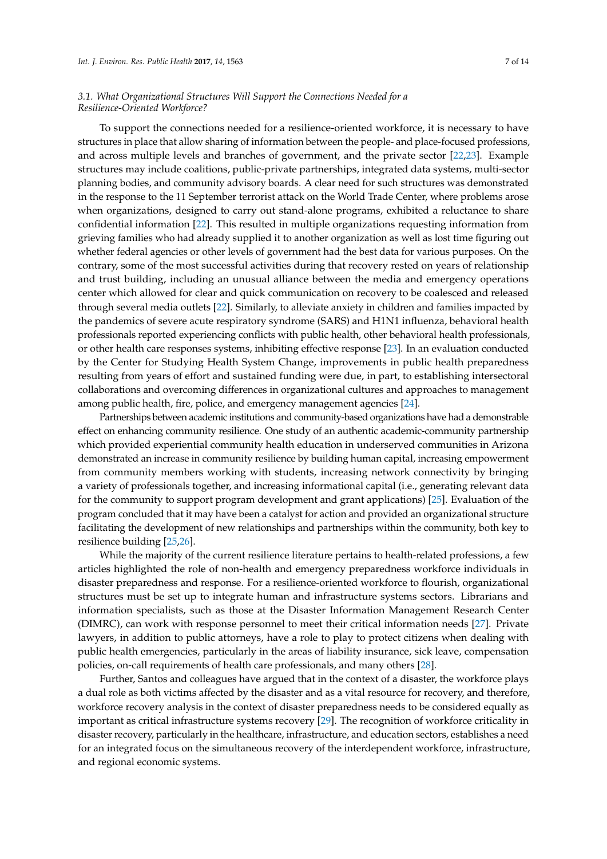### *3.1. What Organizational Structures Will Support the Connections Needed for a Resilience-Oriented Workforce?*

To support the connections needed for a resilience-oriented workforce, it is necessary to have structures in place that allow sharing of information between the people- and place-focused professions, and across multiple levels and branches of government, and the private sector [\[22,](#page-11-14)[23\]](#page-11-15). Example structures may include coalitions, public-private partnerships, integrated data systems, multi-sector planning bodies, and community advisory boards. A clear need for such structures was demonstrated in the response to the 11 September terrorist attack on the World Trade Center, where problems arose when organizations, designed to carry out stand-alone programs, exhibited a reluctance to share confidential information [\[22\]](#page-11-14). This resulted in multiple organizations requesting information from grieving families who had already supplied it to another organization as well as lost time figuring out whether federal agencies or other levels of government had the best data for various purposes. On the contrary, some of the most successful activities during that recovery rested on years of relationship and trust building, including an unusual alliance between the media and emergency operations center which allowed for clear and quick communication on recovery to be coalesced and released through several media outlets [\[22\]](#page-11-14). Similarly, to alleviate anxiety in children and families impacted by the pandemics of severe acute respiratory syndrome (SARS) and H1N1 influenza, behavioral health professionals reported experiencing conflicts with public health, other behavioral health professionals, or other health care responses systems, inhibiting effective response [\[23\]](#page-11-15). In an evaluation conducted by the Center for Studying Health System Change, improvements in public health preparedness resulting from years of effort and sustained funding were due, in part, to establishing intersectoral collaborations and overcoming differences in organizational cultures and approaches to management among public health, fire, police, and emergency management agencies [\[24\]](#page-11-16).

Partnerships between academic institutions and community-based organizations have had a demonstrable effect on enhancing community resilience. One study of an authentic academic-community partnership which provided experiential community health education in underserved communities in Arizona demonstrated an increase in community resilience by building human capital, increasing empowerment from community members working with students, increasing network connectivity by bringing a variety of professionals together, and increasing informational capital (i.e., generating relevant data for the community to support program development and grant applications) [\[25\]](#page-11-17). Evaluation of the program concluded that it may have been a catalyst for action and provided an organizational structure facilitating the development of new relationships and partnerships within the community, both key to resilience building [\[25,](#page-11-17)[26\]](#page-12-0).

While the majority of the current resilience literature pertains to health-related professions, a few articles highlighted the role of non-health and emergency preparedness workforce individuals in disaster preparedness and response. For a resilience-oriented workforce to flourish, organizational structures must be set up to integrate human and infrastructure systems sectors. Librarians and information specialists, such as those at the Disaster Information Management Research Center (DIMRC), can work with response personnel to meet their critical information needs [\[27\]](#page-12-1). Private lawyers, in addition to public attorneys, have a role to play to protect citizens when dealing with public health emergencies, particularly in the areas of liability insurance, sick leave, compensation policies, on-call requirements of health care professionals, and many others [\[28\]](#page-12-2).

Further, Santos and colleagues have argued that in the context of a disaster, the workforce plays a dual role as both victims affected by the disaster and as a vital resource for recovery, and therefore, workforce recovery analysis in the context of disaster preparedness needs to be considered equally as important as critical infrastructure systems recovery [\[29\]](#page-12-3). The recognition of workforce criticality in disaster recovery, particularly in the healthcare, infrastructure, and education sectors, establishes a need for an integrated focus on the simultaneous recovery of the interdependent workforce, infrastructure, and regional economic systems.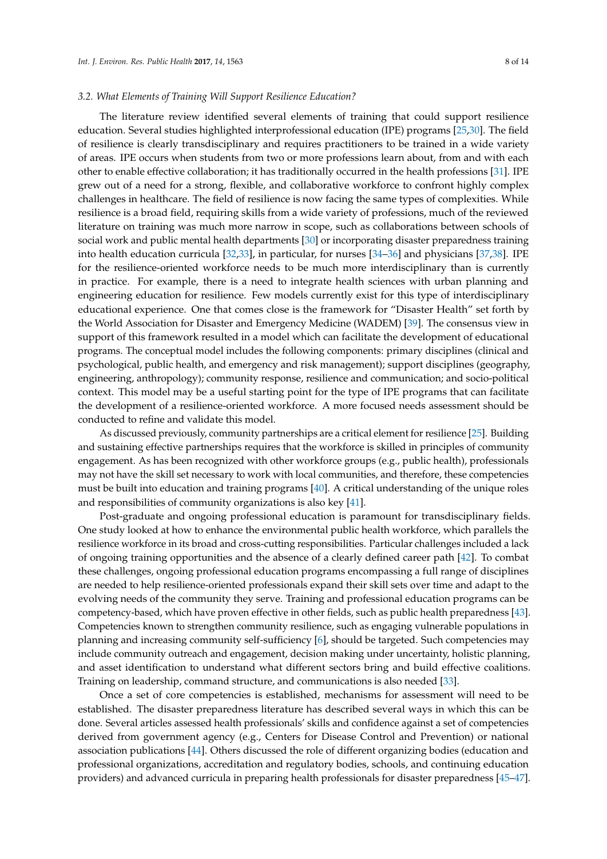#### *3.2. What Elements of Training Will Support Resilience Education?*

The literature review identified several elements of training that could support resilience education. Several studies highlighted interprofessional education (IPE) programs [\[25](#page-11-17)[,30\]](#page-12-4). The field of resilience is clearly transdisciplinary and requires practitioners to be trained in a wide variety of areas. IPE occurs when students from two or more professions learn about, from and with each other to enable effective collaboration; it has traditionally occurred in the health professions [\[31\]](#page-12-5). IPE grew out of a need for a strong, flexible, and collaborative workforce to confront highly complex challenges in healthcare. The field of resilience is now facing the same types of complexities. While resilience is a broad field, requiring skills from a wide variety of professions, much of the reviewed literature on training was much more narrow in scope, such as collaborations between schools of social work and public mental health departments [\[30\]](#page-12-4) or incorporating disaster preparedness training into health education curricula [\[32](#page-12-6)[,33\]](#page-12-7), in particular, for nurses [\[34](#page-12-8)[–36\]](#page-12-9) and physicians [\[37](#page-12-10)[,38\]](#page-12-11). IPE for the resilience-oriented workforce needs to be much more interdisciplinary than is currently in practice. For example, there is a need to integrate health sciences with urban planning and engineering education for resilience. Few models currently exist for this type of interdisciplinary educational experience. One that comes close is the framework for "Disaster Health" set forth by the World Association for Disaster and Emergency Medicine (WADEM) [\[39\]](#page-12-12). The consensus view in support of this framework resulted in a model which can facilitate the development of educational programs. The conceptual model includes the following components: primary disciplines (clinical and psychological, public health, and emergency and risk management); support disciplines (geography, engineering, anthropology); community response, resilience and communication; and socio-political context. This model may be a useful starting point for the type of IPE programs that can facilitate the development of a resilience-oriented workforce. A more focused needs assessment should be conducted to refine and validate this model.

As discussed previously, community partnerships are a critical element for resilience [\[25\]](#page-11-17). Building and sustaining effective partnerships requires that the workforce is skilled in principles of community engagement. As has been recognized with other workforce groups (e.g., public health), professionals may not have the skill set necessary to work with local communities, and therefore, these competencies must be built into education and training programs [\[40\]](#page-12-13). A critical understanding of the unique roles and responsibilities of community organizations is also key [\[41\]](#page-12-14).

Post-graduate and ongoing professional education is paramount for transdisciplinary fields. One study looked at how to enhance the environmental public health workforce, which parallels the resilience workforce in its broad and cross-cutting responsibilities. Particular challenges included a lack of ongoing training opportunities and the absence of a clearly defined career path [\[42\]](#page-12-15). To combat these challenges, ongoing professional education programs encompassing a full range of disciplines are needed to help resilience-oriented professionals expand their skill sets over time and adapt to the evolving needs of the community they serve. Training and professional education programs can be competency-based, which have proven effective in other fields, such as public health preparedness [\[43\]](#page-12-16). Competencies known to strengthen community resilience, such as engaging vulnerable populations in planning and increasing community self-sufficiency [\[6\]](#page-11-2), should be targeted. Such competencies may include community outreach and engagement, decision making under uncertainty, holistic planning, and asset identification to understand what different sectors bring and build effective coalitions. Training on leadership, command structure, and communications is also needed [\[33\]](#page-12-7).

Once a set of core competencies is established, mechanisms for assessment will need to be established. The disaster preparedness literature has described several ways in which this can be done. Several articles assessed health professionals' skills and confidence against a set of competencies derived from government agency (e.g., Centers for Disease Control and Prevention) or national association publications [\[44\]](#page-12-17). Others discussed the role of different organizing bodies (education and professional organizations, accreditation and regulatory bodies, schools, and continuing education providers) and advanced curricula in preparing health professionals for disaster preparedness [\[45–](#page-12-18)[47\]](#page-13-0).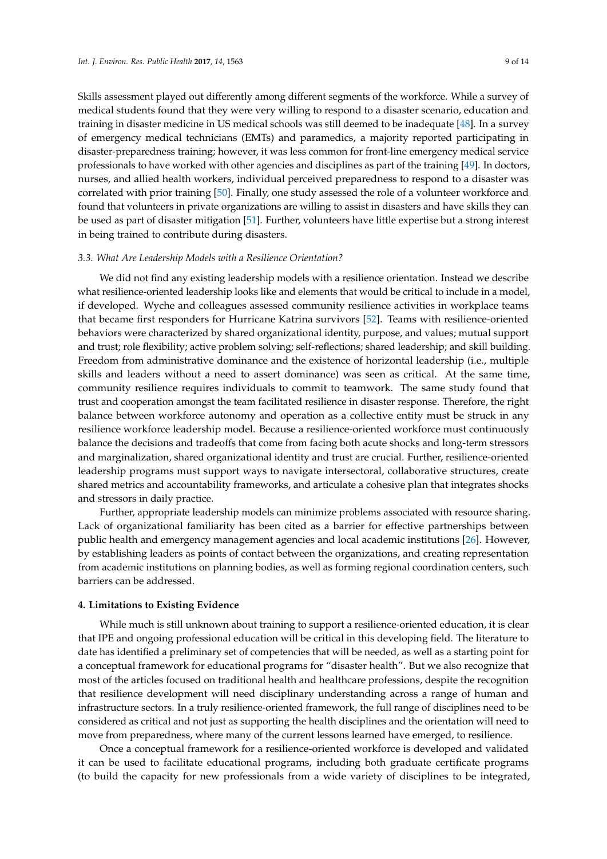Skills assessment played out differently among different segments of the workforce. While a survey of medical students found that they were very willing to respond to a disaster scenario, education and training in disaster medicine in US medical schools was still deemed to be inadequate [\[48\]](#page-13-1). In a survey of emergency medical technicians (EMTs) and paramedics, a majority reported participating in disaster-preparedness training; however, it was less common for front-line emergency medical service professionals to have worked with other agencies and disciplines as part of the training [\[49\]](#page-13-2). In doctors, nurses, and allied health workers, individual perceived preparedness to respond to a disaster was correlated with prior training [\[50\]](#page-13-3). Finally, one study assessed the role of a volunteer workforce and found that volunteers in private organizations are willing to assist in disasters and have skills they can be used as part of disaster mitigation [\[51\]](#page-13-4). Further, volunteers have little expertise but a strong interest in being trained to contribute during disasters.

#### *3.3. What Are Leadership Models with a Resilience Orientation?*

We did not find any existing leadership models with a resilience orientation. Instead we describe what resilience-oriented leadership looks like and elements that would be critical to include in a model, if developed. Wyche and colleagues assessed community resilience activities in workplace teams that became first responders for Hurricane Katrina survivors [\[52\]](#page-13-5). Teams with resilience-oriented behaviors were characterized by shared organizational identity, purpose, and values; mutual support and trust; role flexibility; active problem solving; self-reflections; shared leadership; and skill building. Freedom from administrative dominance and the existence of horizontal leadership (i.e., multiple skills and leaders without a need to assert dominance) was seen as critical. At the same time, community resilience requires individuals to commit to teamwork. The same study found that trust and cooperation amongst the team facilitated resilience in disaster response. Therefore, the right balance between workforce autonomy and operation as a collective entity must be struck in any resilience workforce leadership model. Because a resilience-oriented workforce must continuously balance the decisions and tradeoffs that come from facing both acute shocks and long-term stressors and marginalization, shared organizational identity and trust are crucial. Further, resilience-oriented leadership programs must support ways to navigate intersectoral, collaborative structures, create shared metrics and accountability frameworks, and articulate a cohesive plan that integrates shocks and stressors in daily practice.

Further, appropriate leadership models can minimize problems associated with resource sharing. Lack of organizational familiarity has been cited as a barrier for effective partnerships between public health and emergency management agencies and local academic institutions [\[26\]](#page-12-0). However, by establishing leaders as points of contact between the organizations, and creating representation from academic institutions on planning bodies, as well as forming regional coordination centers, such barriers can be addressed.

#### **4. Limitations to Existing Evidence**

While much is still unknown about training to support a resilience-oriented education, it is clear that IPE and ongoing professional education will be critical in this developing field. The literature to date has identified a preliminary set of competencies that will be needed, as well as a starting point for a conceptual framework for educational programs for "disaster health". But we also recognize that most of the articles focused on traditional health and healthcare professions, despite the recognition that resilience development will need disciplinary understanding across a range of human and infrastructure sectors. In a truly resilience-oriented framework, the full range of disciplines need to be considered as critical and not just as supporting the health disciplines and the orientation will need to move from preparedness, where many of the current lessons learned have emerged, to resilience.

Once a conceptual framework for a resilience-oriented workforce is developed and validated it can be used to facilitate educational programs, including both graduate certificate programs (to build the capacity for new professionals from a wide variety of disciplines to be integrated,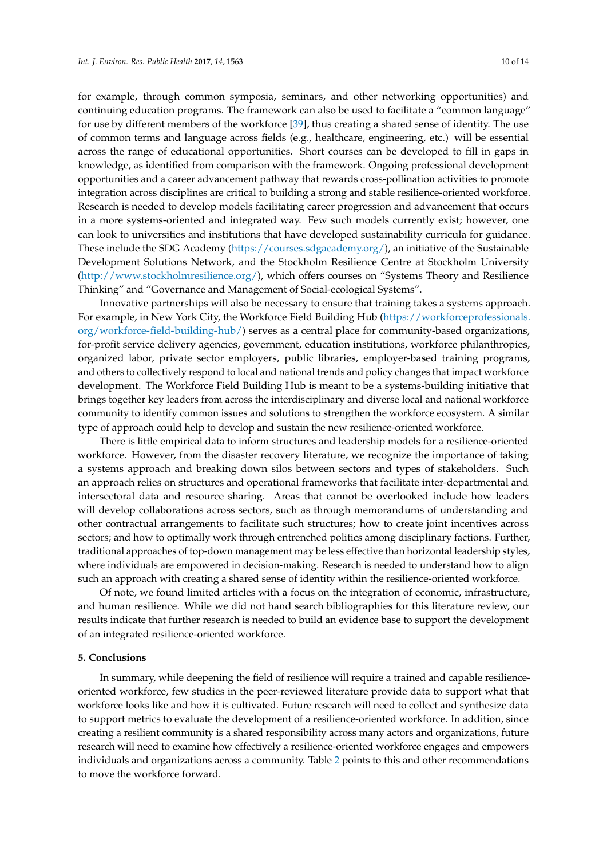for example, through common symposia, seminars, and other networking opportunities) and continuing education programs. The framework can also be used to facilitate a "common language" for use by different members of the workforce [\[39\]](#page-12-12), thus creating a shared sense of identity. The use of common terms and language across fields (e.g., healthcare, engineering, etc.) will be essential across the range of educational opportunities. Short courses can be developed to fill in gaps in knowledge, as identified from comparison with the framework. Ongoing professional development opportunities and a career advancement pathway that rewards cross-pollination activities to promote integration across disciplines are critical to building a strong and stable resilience-oriented workforce. Research is needed to develop models facilitating career progression and advancement that occurs in a more systems-oriented and integrated way. Few such models currently exist; however, one can look to universities and institutions that have developed sustainability curricula for guidance. These include the SDG Academy [\(https://courses.sdgacademy.org/\)](https://courses.sdgacademy.org/), an initiative of the Sustainable Development Solutions Network, and the Stockholm Resilience Centre at Stockholm University [\(http://www.stockholmresilience.org/\)](http://www.stockholmresilience.org/), which offers courses on "Systems Theory and Resilience Thinking" and "Governance and Management of Social-ecological Systems".

Innovative partnerships will also be necessary to ensure that training takes a systems approach. For example, in New York City, the Workforce Field Building Hub [\(https://workforceprofessionals.](https://workforceprofessionals.org/workforce-field-building-hub/) [org/workforce-field-building-hub/\)](https://workforceprofessionals.org/workforce-field-building-hub/) serves as a central place for community-based organizations, for-profit service delivery agencies, government, education institutions, workforce philanthropies, organized labor, private sector employers, public libraries, employer-based training programs, and others to collectively respond to local and national trends and policy changes that impact workforce development. The Workforce Field Building Hub is meant to be a systems-building initiative that brings together key leaders from across the interdisciplinary and diverse local and national workforce community to identify common issues and solutions to strengthen the workforce ecosystem. A similar type of approach could help to develop and sustain the new resilience-oriented workforce.

There is little empirical data to inform structures and leadership models for a resilience-oriented workforce. However, from the disaster recovery literature, we recognize the importance of taking a systems approach and breaking down silos between sectors and types of stakeholders. Such an approach relies on structures and operational frameworks that facilitate inter-departmental and intersectoral data and resource sharing. Areas that cannot be overlooked include how leaders will develop collaborations across sectors, such as through memorandums of understanding and other contractual arrangements to facilitate such structures; how to create joint incentives across sectors; and how to optimally work through entrenched politics among disciplinary factions. Further, traditional approaches of top-down management may be less effective than horizontal leadership styles, where individuals are empowered in decision-making. Research is needed to understand how to align such an approach with creating a shared sense of identity within the resilience-oriented workforce.

Of note, we found limited articles with a focus on the integration of economic, infrastructure, and human resilience. While we did not hand search bibliographies for this literature review, our results indicate that further research is needed to build an evidence base to support the development of an integrated resilience-oriented workforce.

#### **5. Conclusions**

In summary, while deepening the field of resilience will require a trained and capable resilienceoriented workforce, few studies in the peer-reviewed literature provide data to support what that workforce looks like and how it is cultivated. Future research will need to collect and synthesize data to support metrics to evaluate the development of a resilience-oriented workforce. In addition, since creating a resilient community is a shared responsibility across many actors and organizations, future research will need to examine how effectively a resilience-oriented workforce engages and empowers individuals and organizations across a community. Table [2](#page-10-3) points to this and other recommendations to move the workforce forward.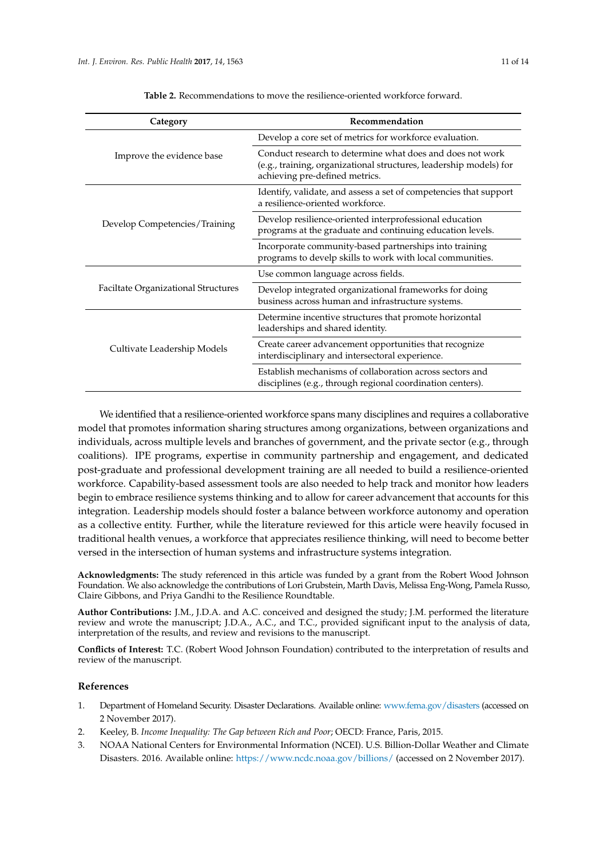<span id="page-10-3"></span>

| Category                            | Recommendation                                                                                                                                                    |  |  |  |  |
|-------------------------------------|-------------------------------------------------------------------------------------------------------------------------------------------------------------------|--|--|--|--|
|                                     | Develop a core set of metrics for workforce evaluation.                                                                                                           |  |  |  |  |
| Improve the evidence base           | Conduct research to determine what does and does not work<br>(e.g., training, organizational structures, leadership models) for<br>achieving pre-defined metrics. |  |  |  |  |
|                                     | Identify, validate, and assess a set of competencies that support<br>a resilience-oriented workforce.                                                             |  |  |  |  |
| Develop Competencies/Training       | Develop resilience-oriented interprofessional education<br>programs at the graduate and continuing education levels.                                              |  |  |  |  |
|                                     | Incorporate community-based partnerships into training<br>programs to develp skills to work with local communities.                                               |  |  |  |  |
|                                     | Use common language across fields.                                                                                                                                |  |  |  |  |
| Faciltate Organizational Structures | Develop integrated organizational frameworks for doing<br>business across human and infrastructure systems.                                                       |  |  |  |  |
|                                     | Determine incentive structures that promote horizontal<br>leaderships and shared identity.                                                                        |  |  |  |  |
| Cultivate Leadership Models         | Create career advancement opportunities that recognize<br>interdisciplinary and intersectoral experience.                                                         |  |  |  |  |
|                                     | Establish mechanisms of collaboration across sectors and<br>disciplines (e.g., through regional coordination centers).                                            |  |  |  |  |

**Table 2.** Recommendations to move the resilience-oriented workforce forward.

We identified that a resilience-oriented workforce spans many disciplines and requires a collaborative model that promotes information sharing structures among organizations, between organizations and individuals, across multiple levels and branches of government, and the private sector (e.g., through coalitions). IPE programs, expertise in community partnership and engagement, and dedicated post-graduate and professional development training are all needed to build a resilience-oriented workforce. Capability-based assessment tools are also needed to help track and monitor how leaders begin to embrace resilience systems thinking and to allow for career advancement that accounts for this integration. Leadership models should foster a balance between workforce autonomy and operation as a collective entity. Further, while the literature reviewed for this article were heavily focused in traditional health venues, a workforce that appreciates resilience thinking, will need to become better versed in the intersection of human systems and infrastructure systems integration.

**Acknowledgments:** The study referenced in this article was funded by a grant from the Robert Wood Johnson Foundation. We also acknowledge the contributions of Lori Grubstein, Marth Davis, Melissa Eng-Wong, Pamela Russo, Claire Gibbons, and Priya Gandhi to the Resilience Roundtable.

**Author Contributions:** J.M., J.D.A. and A.C. conceived and designed the study; J.M. performed the literature review and wrote the manuscript; J.D.A., A.C., and T.C., provided significant input to the analysis of data, interpretation of the results, and review and revisions to the manuscript.

**Conflicts of Interest:** T.C. (Robert Wood Johnson Foundation) contributed to the interpretation of results and review of the manuscript.

#### **References**

- <span id="page-10-0"></span>1. Department of Homeland Security. Disaster Declarations. Available online: <www.fema.gov/disasters> (accessed on 2 November 2017).
- <span id="page-10-1"></span>2. Keeley, B. *Income Inequality: The Gap between Rich and Poor*; OECD: France, Paris, 2015.
- <span id="page-10-2"></span>3. NOAA National Centers for Environmental Information (NCEI). U.S. Billion-Dollar Weather and Climate Disasters. 2016. Available online: <https://www.ncdc.noaa.gov/billions/> (accessed on 2 November 2017).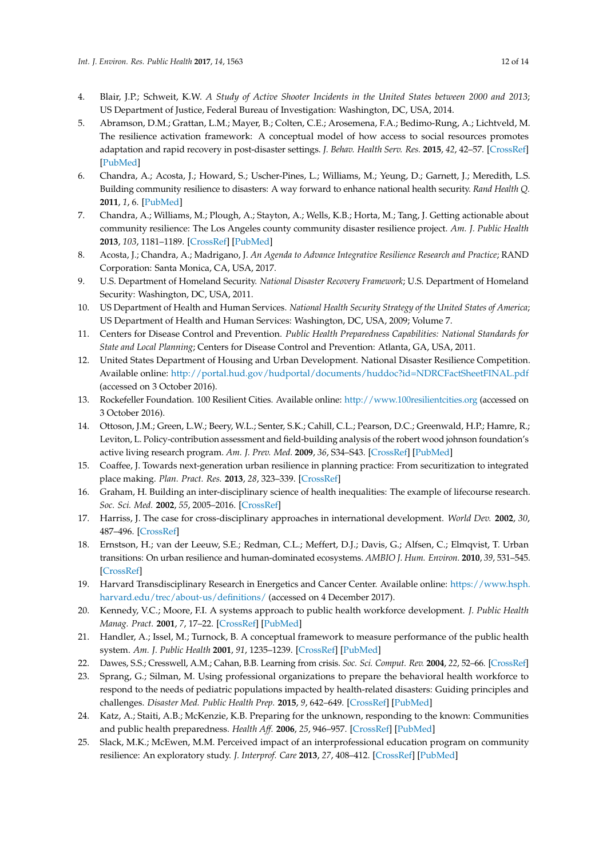- <span id="page-11-0"></span>4. Blair, J.P.; Schweit, K.W. *A Study of Active Shooter Incidents in the United States between 2000 and 2013*; US Department of Justice, Federal Bureau of Investigation: Washington, DC, USA, 2014.
- <span id="page-11-1"></span>5. Abramson, D.M.; Grattan, L.M.; Mayer, B.; Colten, C.E.; Arosemena, F.A.; Bedimo-Rung, A.; Lichtveld, M. The resilience activation framework: A conceptual model of how access to social resources promotes adaptation and rapid recovery in post-disaster settings. *J. Behav. Health Serv. Res.* **2015**, *42*, 42–57. [\[CrossRef\]](http://dx.doi.org/10.1007/s11414-014-9410-2) [\[PubMed\]](http://www.ncbi.nlm.nih.gov/pubmed/24870399)
- <span id="page-11-2"></span>6. Chandra, A.; Acosta, J.; Howard, S.; Uscher-Pines, L.; Williams, M.; Yeung, D.; Garnett, J.; Meredith, L.S. Building community resilience to disasters: A way forward to enhance national health security. *Rand Health Q.* **2011**, *1*, 6. [\[PubMed\]](http://www.ncbi.nlm.nih.gov/pubmed/28083162)
- 7. Chandra, A.; Williams, M.; Plough, A.; Stayton, A.; Wells, K.B.; Horta, M.; Tang, J. Getting actionable about community resilience: The Los Angeles county community disaster resilience project. *Am. J. Public Health* **2013**, *103*, 1181–1189. [\[CrossRef\]](http://dx.doi.org/10.2105/AJPH.2013.301270) [\[PubMed\]](http://www.ncbi.nlm.nih.gov/pubmed/23678906)
- <span id="page-11-3"></span>8. Acosta, J.; Chandra, A.; Madrigano, J. *An Agenda to Advance Integrative Resilience Research and Practice*; RAND Corporation: Santa Monica, CA, USA, 2017.
- 9. U.S. Department of Homeland Security. *National Disaster Recovery Framework*; U.S. Department of Homeland Security: Washington, DC, USA, 2011.
- <span id="page-11-4"></span>10. US Department of Health and Human Services. *National Health Security Strategy of the United States of America*; US Department of Health and Human Services: Washington, DC, USA, 2009; Volume 7.
- <span id="page-11-5"></span>11. Centers for Disease Control and Prevention. *Public Health Preparedness Capabilities: National Standards for State and Local Planning*; Centers for Disease Control and Prevention: Atlanta, GA, USA, 2011.
- 12. United States Department of Housing and Urban Development. National Disaster Resilience Competition. Available online: <http://portal.hud.gov/hudportal/documents/huddoc?id=NDRCFactSheetFINAL.pdf> (accessed on 3 October 2016).
- <span id="page-11-6"></span>13. Rockefeller Foundation. 100 Resilient Cities. Available online: <http://www.100resilientcities.org> (accessed on 3 October 2016).
- <span id="page-11-7"></span>14. Ottoson, J.M.; Green, L.W.; Beery, W.L.; Senter, S.K.; Cahill, C.L.; Pearson, D.C.; Greenwald, H.P.; Hamre, R.; Leviton, L. Policy-contribution assessment and field-building analysis of the robert wood johnson foundation's active living research program. *Am. J. Prev. Med.* **2009**, *36*, S34–S43. [\[CrossRef\]](http://dx.doi.org/10.1016/j.amepre.2008.10.010) [\[PubMed\]](http://www.ncbi.nlm.nih.gov/pubmed/19147055)
- <span id="page-11-8"></span>15. Coaffee, J. Towards next-generation urban resilience in planning practice: From securitization to integrated place making. *Plan. Pract. Res.* **2013**, *28*, 323–339. [\[CrossRef\]](http://dx.doi.org/10.1080/02697459.2013.787693)
- 16. Graham, H. Building an inter-disciplinary science of health inequalities: The example of lifecourse research. *Soc. Sci. Med.* **2002**, *55*, 2005–2016. [\[CrossRef\]](http://dx.doi.org/10.1016/S0277-9536(01)00343-4)
- <span id="page-11-9"></span>17. Harriss, J. The case for cross-disciplinary approaches in international development. *World Dev.* **2002**, *30*, 487–496. [\[CrossRef\]](http://dx.doi.org/10.1016/S0305-750X(01)00115-2)
- <span id="page-11-10"></span>18. Ernstson, H.; van der Leeuw, S.E.; Redman, C.L.; Meffert, D.J.; Davis, G.; Alfsen, C.; Elmqvist, T. Urban transitions: On urban resilience and human-dominated ecosystems. *AMBIO J. Hum. Environ.* **2010**, *39*, 531–545. [\[CrossRef\]](http://dx.doi.org/10.1007/s13280-010-0081-9)
- <span id="page-11-11"></span>19. Harvard Transdisciplinary Research in Energetics and Cancer Center. Available online: [https://www.hsph.](https://www.hsph.harvard.edu/trec/about-us/definitions/) [harvard.edu/trec/about-us/definitions/](https://www.hsph.harvard.edu/trec/about-us/definitions/) (accessed on 4 December 2017).
- <span id="page-11-12"></span>20. Kennedy, V.C.; Moore, F.I. A systems approach to public health workforce development. *J. Public Health Manag. Pract.* **2001**, *7*, 17–22. [\[CrossRef\]](http://dx.doi.org/10.1097/00124784-200107040-00004) [\[PubMed\]](http://www.ncbi.nlm.nih.gov/pubmed/11434036)
- <span id="page-11-13"></span>21. Handler, A.; Issel, M.; Turnock, B. A conceptual framework to measure performance of the public health system. *Am. J. Public Health* **2001**, *91*, 1235–1239. [\[CrossRef\]](http://dx.doi.org/10.2105/AJPH.91.8.1235) [\[PubMed\]](http://www.ncbi.nlm.nih.gov/pubmed/11499110)
- <span id="page-11-14"></span>22. Dawes, S.S.; Cresswell, A.M.; Cahan, B.B. Learning from crisis. *Soc. Sci. Comput. Rev.* **2004**, *22*, 52–66. [\[CrossRef\]](http://dx.doi.org/10.1177/0894439303259887)
- <span id="page-11-15"></span>23. Sprang, G.; Silman, M. Using professional organizations to prepare the behavioral health workforce to respond to the needs of pediatric populations impacted by health-related disasters: Guiding principles and challenges. *Disaster Med. Public Health Prep.* **2015**, *9*, 642–649. [\[CrossRef\]](http://dx.doi.org/10.1017/dmp.2015.82) [\[PubMed\]](http://www.ncbi.nlm.nih.gov/pubmed/26145465)
- <span id="page-11-16"></span>24. Katz, A.; Staiti, A.B.; McKenzie, K.B. Preparing for the unknown, responding to the known: Communities and public health preparedness. *Health Aff.* **2006**, *25*, 946–957. [\[CrossRef\]](http://dx.doi.org/10.1377/hlthaff.25.4.946) [\[PubMed\]](http://www.ncbi.nlm.nih.gov/pubmed/16835173)
- <span id="page-11-17"></span>25. Slack, M.K.; McEwen, M.M. Perceived impact of an interprofessional education program on community resilience: An exploratory study. *J. Interprof. Care* **2013**, *27*, 408–412. [\[CrossRef\]](http://dx.doi.org/10.3109/13561820.2013.785501) [\[PubMed\]](http://www.ncbi.nlm.nih.gov/pubmed/23679674)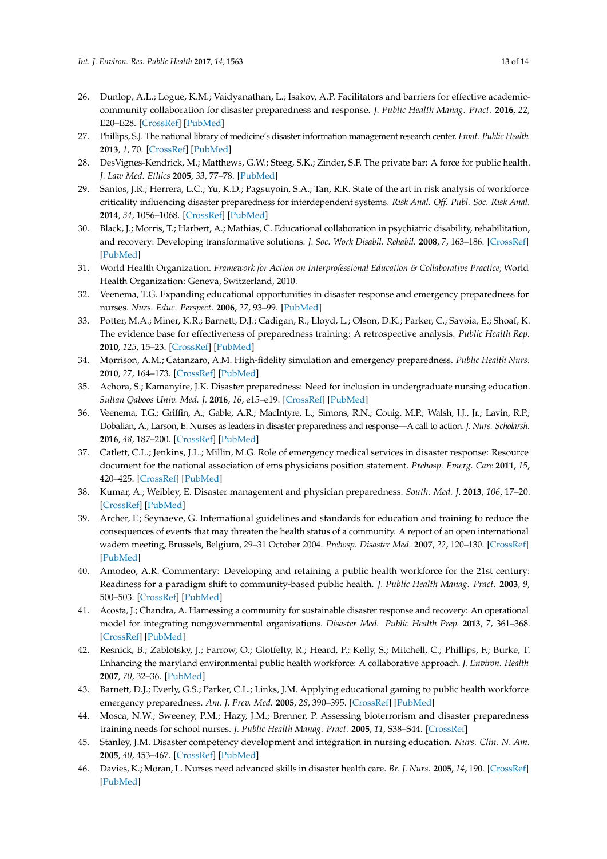- <span id="page-12-0"></span>26. Dunlop, A.L.; Logue, K.M.; Vaidyanathan, L.; Isakov, A.P. Facilitators and barriers for effective academiccommunity collaboration for disaster preparedness and response. *J. Public Health Manag. Pract.* **2016**, *22*, E20–E28. [\[CrossRef\]](http://dx.doi.org/10.1097/PHH.0b013e3182205087) [\[PubMed\]](http://www.ncbi.nlm.nih.gov/pubmed/23238058)
- <span id="page-12-1"></span>27. Phillips, S.J. The national library of medicine's disaster information management research center. *Front. Public Health* **2013**, *1*, 70. [\[CrossRef\]](http://dx.doi.org/10.3389/fpubh.2013.00070) [\[PubMed\]](http://www.ncbi.nlm.nih.gov/pubmed/24380078)
- <span id="page-12-2"></span>28. DesVignes-Kendrick, M.; Matthews, G.W.; Steeg, S.K.; Zinder, S.F. The private bar: A force for public health. *J. Law Med. Ethics* **2005**, *33*, 77–78. [\[PubMed\]](http://www.ncbi.nlm.nih.gov/pubmed/16689167)
- <span id="page-12-3"></span>29. Santos, J.R.; Herrera, L.C.; Yu, K.D.; Pagsuyoin, S.A.; Tan, R.R. State of the art in risk analysis of workforce criticality influencing disaster preparedness for interdependent systems. *Risk Anal. Off. Publ. Soc. Risk Anal.* **2014**, *34*, 1056–1068. [\[CrossRef\]](http://dx.doi.org/10.1111/risa.12183) [\[PubMed\]](http://www.ncbi.nlm.nih.gov/pubmed/24593287)
- <span id="page-12-4"></span>30. Black, J.; Morris, T.; Harbert, A.; Mathias, C. Educational collaboration in psychiatric disability, rehabilitation, and recovery: Developing transformative solutions. *J. Soc. Work Disabil. Rehabil.* **2008**, *7*, 163–186. [\[CrossRef\]](http://dx.doi.org/10.1080/15367100802487333) [\[PubMed\]](http://www.ncbi.nlm.nih.gov/pubmed/19064429)
- <span id="page-12-5"></span>31. World Health Organization. *Framework for Action on Interprofessional Education & Collaborative Practice*; World Health Organization: Geneva, Switzerland, 2010.
- <span id="page-12-6"></span>32. Veenema, T.G. Expanding educational opportunities in disaster response and emergency preparedness for nurses. *Nurs. Educ. Perspect.* **2006**, *27*, 93–99. [\[PubMed\]](http://www.ncbi.nlm.nih.gov/pubmed/16733973)
- <span id="page-12-7"></span>33. Potter, M.A.; Miner, K.R.; Barnett, D.J.; Cadigan, R.; Lloyd, L.; Olson, D.K.; Parker, C.; Savoia, E.; Shoaf, K. The evidence base for effectiveness of preparedness training: A retrospective analysis. *Public Health Rep.* **2010**, *125*, 15–23. [\[CrossRef\]](http://dx.doi.org/10.1177/00333549101250S504) [\[PubMed\]](http://www.ncbi.nlm.nih.gov/pubmed/21133061)
- <span id="page-12-8"></span>34. Morrison, A.M.; Catanzaro, A.M. High-fidelity simulation and emergency preparedness. *Public Health Nurs.* **2010**, *27*, 164–173. [\[CrossRef\]](http://dx.doi.org/10.1111/j.1525-1446.2010.00838.x) [\[PubMed\]](http://www.ncbi.nlm.nih.gov/pubmed/20433671)
- 35. Achora, S.; Kamanyire, J.K. Disaster preparedness: Need for inclusion in undergraduate nursing education. *Sultan Qaboos Univ. Med. J.* **2016**, *16*, e15–e19. [\[CrossRef\]](http://dx.doi.org/10.18295/squmj.2016.16.01.004) [\[PubMed\]](http://www.ncbi.nlm.nih.gov/pubmed/26909207)
- <span id="page-12-9"></span>36. Veenema, T.G.; Griffin, A.; Gable, A.R.; MacIntyre, L.; Simons, R.N.; Couig, M.P.; Walsh, J.J., Jr.; Lavin, R.P.; Dobalian, A.; Larson, E. Nurses as leaders in disaster preparedness and response—A call to action. *J. Nurs. Scholarsh.* **2016**, *48*, 187–200. [\[CrossRef\]](http://dx.doi.org/10.1111/jnu.12198) [\[PubMed\]](http://www.ncbi.nlm.nih.gov/pubmed/26869230)
- <span id="page-12-10"></span>37. Catlett, C.L.; Jenkins, J.L.; Millin, M.G. Role of emergency medical services in disaster response: Resource document for the national association of ems physicians position statement. *Prehosp. Emerg. Care* **2011**, *15*, 420–425. [\[CrossRef\]](http://dx.doi.org/10.3109/10903127.2011.561401) [\[PubMed\]](http://www.ncbi.nlm.nih.gov/pubmed/21480774)
- <span id="page-12-11"></span>38. Kumar, A.; Weibley, E. Disaster management and physician preparedness. *South. Med. J.* **2013**, *106*, 17–20. [\[CrossRef\]](http://dx.doi.org/10.1097/SMJ.0b013e3827c5c5b) [\[PubMed\]](http://www.ncbi.nlm.nih.gov/pubmed/23263308)
- <span id="page-12-12"></span>39. Archer, F.; Seynaeve, G. International guidelines and standards for education and training to reduce the consequences of events that may threaten the health status of a community. A report of an open international wadem meeting, Brussels, Belgium, 29–31 October 2004. *Prehosp. Disaster Med.* **2007**, *22*, 120–130. [\[CrossRef\]](http://dx.doi.org/10.1017/S1049023X00004490) [\[PubMed\]](http://www.ncbi.nlm.nih.gov/pubmed/17591184)
- <span id="page-12-13"></span>40. Amodeo, A.R. Commentary: Developing and retaining a public health workforce for the 21st century: Readiness for a paradigm shift to community-based public health. *J. Public Health Manag. Pract.* **2003**, *9*, 500–503. [\[CrossRef\]](http://dx.doi.org/10.1097/00124784-200311000-00010) [\[PubMed\]](http://www.ncbi.nlm.nih.gov/pubmed/14606189)
- <span id="page-12-14"></span>41. Acosta, J.; Chandra, A. Harnessing a community for sustainable disaster response and recovery: An operational model for integrating nongovernmental organizations. *Disaster Med. Public Health Prep.* **2013**, *7*, 361–368. [\[CrossRef\]](http://dx.doi.org/10.1017/dmp.2012.1) [\[PubMed\]](http://www.ncbi.nlm.nih.gov/pubmed/24229518)
- <span id="page-12-15"></span>42. Resnick, B.; Zablotsky, J.; Farrow, O.; Glotfelty, R.; Heard, P.; Kelly, S.; Mitchell, C.; Phillips, F.; Burke, T. Enhancing the maryland environmental public health workforce: A collaborative approach. *J. Environ. Health* **2007**, *70*, 32–36. [\[PubMed\]](http://www.ncbi.nlm.nih.gov/pubmed/17802814)
- <span id="page-12-16"></span>43. Barnett, D.J.; Everly, G.S.; Parker, C.L.; Links, J.M. Applying educational gaming to public health workforce emergency preparedness. *Am. J. Prev. Med.* **2005**, *28*, 390–395. [\[CrossRef\]](http://dx.doi.org/10.1016/j.amepre.2005.01.001) [\[PubMed\]](http://www.ncbi.nlm.nih.gov/pubmed/15831347)
- <span id="page-12-17"></span>44. Mosca, N.W.; Sweeney, P.M.; Hazy, J.M.; Brenner, P. Assessing bioterrorism and disaster preparedness training needs for school nurses. *J. Public Health Manag. Pract.* **2005**, *11*, S38–S44. [\[CrossRef\]](http://dx.doi.org/10.1097/00124784-200511001-00007)
- <span id="page-12-18"></span>45. Stanley, J.M. Disaster competency development and integration in nursing education. *Nurs. Clin. N. Am.* **2005**, *40*, 453–467. [\[CrossRef\]](http://dx.doi.org/10.1016/j.cnur.2005.04.009) [\[PubMed\]](http://www.ncbi.nlm.nih.gov/pubmed/16111992)
- 46. Davies, K.; Moran, L. Nurses need advanced skills in disaster health care. *Br. J. Nurs.* **2005**, *14*, 190. [\[CrossRef\]](http://dx.doi.org/10.12968/bjon.2005.14.4.17598) [\[PubMed\]](http://www.ncbi.nlm.nih.gov/pubmed/15798503)